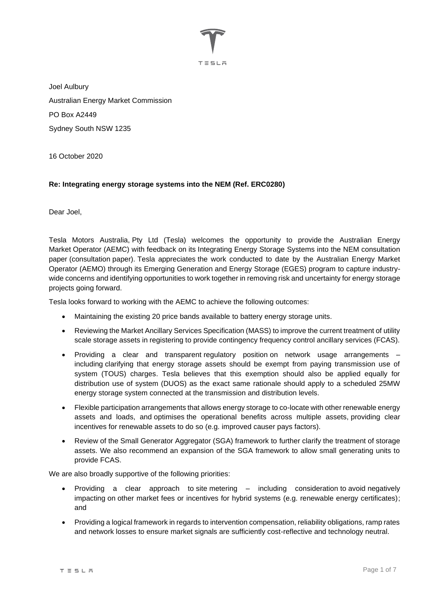

Joel Aulbury Australian Energy Market Commission PO Box A2449 Sydney South NSW 1235

16 October 2020

#### **Re: Integrating energy storage systems into the NEM (Ref. ERC0280)**

Dear Joel,

Tesla Motors Australia, Pty Ltd (Tesla) welcomes the opportunity to provide the Australian Energy Market Operator (AEMC) with feedback on its Integrating Energy Storage Systems into the NEM consultation paper (consultation paper). Tesla appreciates the work conducted to date by the Australian Energy Market Operator (AEMO) through its Emerging Generation and Energy Storage (EGES) program to capture industrywide concerns and identifying opportunities to work together in removing risk and uncertainty for energy storage projects going forward.

Tesla looks forward to working with the AEMC to achieve the following outcomes:

- Maintaining the existing 20 price bands available to battery energy storage units.
- Reviewing the Market Ancillary Services Specification (MASS) to improve the current treatment of utility scale storage assets in registering to provide contingency frequency control ancillary services (FCAS).
- Providing a clear and transparent regulatory position on network usage arrangements including clarifying that energy storage assets should be exempt from paying transmission use of system (TOUS) charges. Tesla believes that this exemption should also be applied equally for distribution use of system (DUOS) as the exact same rationale should apply to a scheduled 25MW energy storage system connected at the transmission and distribution levels.
- Flexible participation arrangements that allows energy storage to co-locate with other renewable energy assets and loads, and optimises the operational benefits across multiple assets, providing clear incentives for renewable assets to do so (e.g. improved causer pays factors).
- Review of the Small Generator Aggregator (SGA) framework to further clarify the treatment of storage assets. We also recommend an expansion of the SGA framework to allow small generating units to provide FCAS.

We are also broadly supportive of the following priorities:

- Providing a clear approach to site metering including consideration to avoid negatively impacting on other market fees or incentives for hybrid systems (e.g. renewable energy certificates); and
- Providing a logical framework in regards to intervention compensation, reliability obligations, ramp rates and network losses to ensure market signals are sufficiently cost-reflective and technology neutral.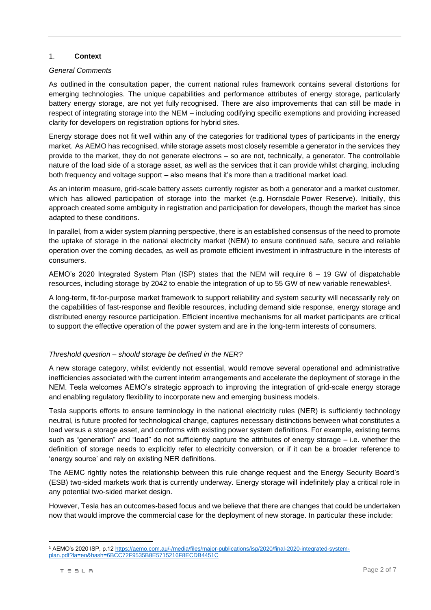#### 1. **Context**

#### *General Comments*

As outlined in the consultation paper, the current national rules framework contains several distortions for emerging technologies. The unique capabilities and performance attributes of energy storage, particularly battery energy storage, are not yet fully recognised. There are also improvements that can still be made in respect of integrating storage into the NEM – including codifying specific exemptions and providing increased clarity for developers on registration options for hybrid sites.

Energy storage does not fit well within any of the categories for traditional types of participants in the energy market. As AEMO has recognised, while storage assets most closely resemble a generator in the services they provide to the market, they do not generate electrons – so are not, technically, a generator. The controllable nature of the load side of a storage asset, as well as the services that it can provide whilst charging, including both frequency and voltage support – also means that it's more than a traditional market load.

As an interim measure, grid-scale battery assets currently register as both a generator and a market customer, which has allowed participation of storage into the market (e.g. Hornsdale Power Reserve). Initially, this approach created some ambiguity in registration and participation for developers, though the market has since adapted to these conditions.

In parallel, from a wider system planning perspective, there is an established consensus of the need to promote the uptake of storage in the national electricity market (NEM) to ensure continued safe, secure and reliable operation over the coming decades, as well as promote efficient investment in infrastructure in the interests of consumers.

AEMO's 2020 Integrated System Plan (ISP) states that the NEM will require 6 – 19 GW of dispatchable resources, including storage by 2042 to enable the integration of up to 55 GW of new variable renewables 1 .

A long-term, fit-for-purpose market framework to support reliability and system security will necessarily rely on the capabilities of fast-response and flexible resources, including demand side response, energy storage and distributed energy resource participation. Efficient incentive mechanisms for all market participants are critical to support the effective operation of the power system and are in the long-term interests of consumers.

#### *Threshold question – should storage be defined in the NER?*

A new storage category, whilst evidently not essential, would remove several operational and administrative inefficiencies associated with the current interim arrangements and accelerate the deployment of storage in the NEM. Tesla welcomes AEMO's strategic approach to improving the integration of grid-scale energy storage and enabling regulatory flexibility to incorporate new and emerging business models.

Tesla supports efforts to ensure terminology in the national electricity rules (NER) is sufficiently technology neutral, is future proofed for technological change, captures necessary distinctions between what constitutes a load versus a storage asset, and conforms with existing power system definitions. For example, existing terms such as "generation" and "load" do not sufficiently capture the attributes of energy storage – i.e. whether the definition of storage needs to explicitly refer to electricity conversion, or if it can be a broader reference to 'energy source' and rely on existing NER definitions.

The AEMC rightly notes the relationship between this rule change request and the Energy Security Board's (ESB) two-sided markets work that is currently underway. Energy storage will indefinitely play a critical role in any potential two-sided market design.

However, Tesla has an outcomes-based focus and we believe that there are changes that could be undertaken now that would improve the commercial case for the deployment of new storage. In particular these include:

<sup>1</sup> AEMO's 2020 ISP, p.1[2 https://aemo.com.au/-/media/files/major-publications/isp/2020/final-2020-integrated-system](https://aemo.com.au/-/media/files/major-publications/isp/2020/final-2020-integrated-system-plan.pdf?la=en&hash=6BCC72F9535B8E5715216F8ECDB4451C)[plan.pdf?la=en&hash=6BCC72F9535B8E5715216F8ECDB4451C](https://aemo.com.au/-/media/files/major-publications/isp/2020/final-2020-integrated-system-plan.pdf?la=en&hash=6BCC72F9535B8E5715216F8ECDB4451C)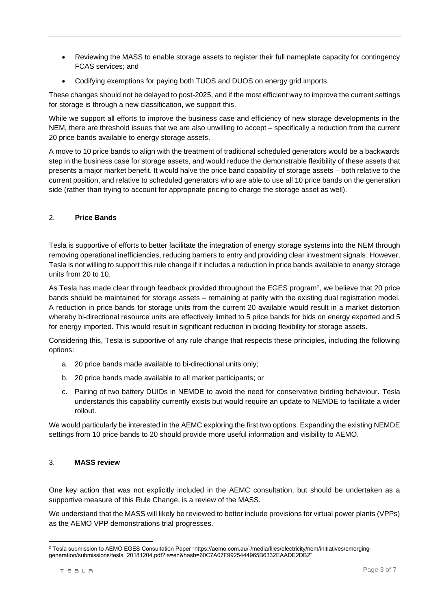- Reviewing the MASS to enable storage assets to register their full nameplate capacity for contingency FCAS services; and
- Codifying exemptions for paying both TUOS and DUOS on energy grid imports.

These changes should not be delayed to post-2025, and if the most efficient way to improve the current settings for storage is through a new classification, we support this.

While we support all efforts to improve the business case and efficiency of new storage developments in the NEM, there are threshold issues that we are also unwilling to accept – specifically a reduction from the current 20 price bands available to energy storage assets.

A move to 10 price bands to align with the treatment of traditional scheduled generators would be a backwards step in the business case for storage assets, and would reduce the demonstrable flexibility of these assets that presents a major market benefit. It would halve the price band capability of storage assets – both relative to the current position, and relative to scheduled generators who are able to use all 10 price bands on the generation side (rather than trying to account for appropriate pricing to charge the storage asset as well).

# 2. **Price Bands**

Tesla is supportive of efforts to better facilitate the integration of energy storage systems into the NEM through removing operational inefficiencies, reducing barriers to entry and providing clear investment signals. However, Tesla is not willing to support this rule change if it includes a reduction in price bands available to energy storage units from 20 to 10.

As Tesla has made clear through feedback provided throughout the EGES program<sup>2</sup>, we believe that 20 price bands should be maintained for storage assets – remaining at parity with the existing dual registration model. A reduction in price bands for storage units from the current 20 available would result in a market distortion whereby bi-directional resource units are effectively limited to 5 price bands for bids on energy exported and 5 for energy imported. This would result in significant reduction in bidding flexibility for storage assets.

Considering this, Tesla is supportive of any rule change that respects these principles, including the following options:

- a. 20 price bands made available to bi-directional units only;
- b. 20 price bands made available to all market participants; or
- c. Pairing of two battery DUIDs in NEMDE to avoid the need for conservative bidding behaviour. Tesla understands this capability currently exists but would require an update to NEMDE to facilitate a wider rollout.

We would particularly be interested in the AEMC exploring the first two options. Expanding the existing NEMDE settings from 10 price bands to 20 should provide more useful information and visibility to AEMO.

# 3. **MASS review**

One key action that was not explicitly included in the AEMC consultation, but should be undertaken as a supportive measure of this Rule Change, is a review of the MASS.

We understand that the MASS will likely be reviewed to better include provisions for virtual power plants (VPPs) as the AEMO VPP demonstrations trial progresses.

<sup>&</sup>lt;sup>2</sup> Tesla submission to AEMO EGES Consultation Paper "https://aemo.com.au/-/media/files/electricity/nem/initiatives/emerginggeneration/submissions/tesla\_20181204.pdf?la=en&hash=60C7A07F9925444965B6332EAADE2DB2"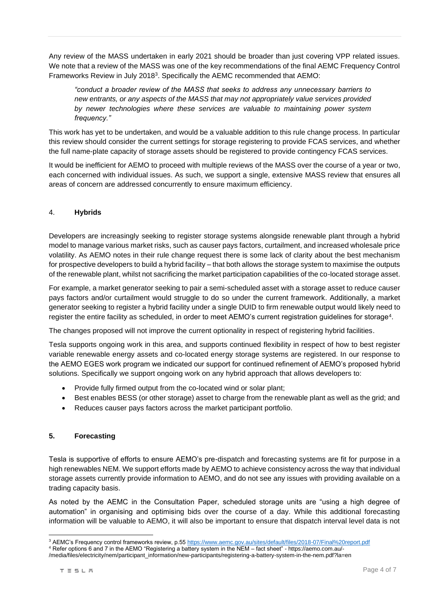Any review of the MASS undertaken in early 2021 should be broader than just covering VPP related issues. We note that a review of the MASS was one of the key recommendations of the final AEMC Frequency Control Frameworks Review in July 2018<sup>3</sup>. Specifically the AEMC recommended that AEMO:

*"conduct a broader review of the MASS that seeks to address any unnecessary barriers to new entrants, or any aspects of the MASS that may not appropriately value services provided by newer technologies where these services are valuable to maintaining power system frequency."*

This work has yet to be undertaken, and would be a valuable addition to this rule change process. In particular this review should consider the current settings for storage registering to provide FCAS services, and whether the full name-plate capacity of storage assets should be registered to provide contingency FCAS services.

It would be inefficient for AEMO to proceed with multiple reviews of the MASS over the course of a year or two, each concerned with individual issues. As such, we support a single, extensive MASS review that ensures all areas of concern are addressed concurrently to ensure maximum efficiency.

## 4. **Hybrids**

Developers are increasingly seeking to register storage systems alongside renewable plant through a hybrid model to manage various market risks, such as causer pays factors, curtailment, and increased wholesale price volatility. As AEMO notes in their rule change request there is some lack of clarity about the best mechanism for prospective developers to build a hybrid facility – that both allows the storage system to maximise the outputs of the renewable plant, whilst not sacrificing the market participation capabilities of the co-located storage asset.

For example, a market generator seeking to pair a semi-scheduled asset with a storage asset to reduce causer pays factors and/or curtailment would struggle to do so under the current framework. Additionally, a market generator seeking to register a hybrid facility under a single DUID to firm renewable output would likely need to register the entire facility as scheduled, in order to meet AEMO's current registration guidelines for storage $^4\!$ 

The changes proposed will not improve the current optionality in respect of registering hybrid facilities.

Tesla supports ongoing work in this area, and supports continued flexibility in respect of how to best register variable renewable energy assets and co-located energy storage systems are registered. In our response to the AEMO EGES work program we indicated our support for continued refinement of AEMO's proposed hybrid solutions. Specifically we support ongoing work on any hybrid approach that allows developers to:

- Provide fully firmed output from the co-located wind or solar plant;
- Best enables BESS (or other storage) asset to charge from the renewable plant as well as the grid; and
- Reduces causer pays factors across the market participant portfolio.

#### **5. Forecasting**

Tesla is supportive of efforts to ensure AEMO's pre-dispatch and forecasting systems are fit for purpose in a high renewables NEM. We support efforts made by AEMO to achieve consistency across the way that individual storage assets currently provide information to AEMO, and do not see any issues with providing available on a trading capacity basis.

As noted by the AEMC in the Consultation Paper, scheduled storage units are "using a high degree of automation" in organising and optimising bids over the course of a day. While this additional forecasting information will be valuable to AEMO, it will also be important to ensure that dispatch interval level data is not

<sup>&</sup>lt;sup>3</sup> AEMC's Frequency control frameworks review, p.55<https://www.aemc.gov.au/sites/default/files/2018-07/Final%20report.pdf>

<sup>4</sup> Refer options 6 and 7 in the AEMO "Registering a battery system in the NEM – fact sheet" - https://aemo.com.au/-

<sup>/</sup>media/files/electricity/nem/participant\_information/new-participants/registering-a-battery-system-in-the-nem.pdf?la=en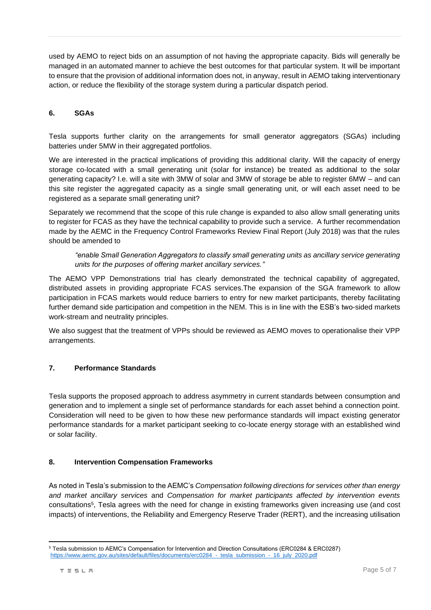used by AEMO to reject bids on an assumption of not having the appropriate capacity. Bids will generally be managed in an automated manner to achieve the best outcomes for that particular system. It will be important to ensure that the provision of additional information does not, in anyway, result in AEMO taking interventionary action, or reduce the flexibility of the storage system during a particular dispatch period.

## **6. SGAs**

Tesla supports further clarity on the arrangements for small generator aggregators (SGAs) including batteries under 5MW in their aggregated portfolios.

We are interested in the practical implications of providing this additional clarity. Will the capacity of energy storage co-located with a small generating unit (solar for instance) be treated as additional to the solar generating capacity? I.e. will a site with 3MW of solar and 3MW of storage be able to register 6MW – and can this site register the aggregated capacity as a single small generating unit, or will each asset need to be registered as a separate small generating unit?

Separately we recommend that the scope of this rule change is expanded to also allow small generating units to register for FCAS as they have the technical capability to provide such a service. A further recommendation made by the AEMC in the Frequency Control Frameworks Review Final Report (July 2018) was that the rules should be amended to

*"enable Small Generation Aggregators to classify small generating units as ancillary service generating units for the purposes of offering market ancillary services."*

The AEMO VPP Demonstrations trial has clearly demonstrated the technical capability of aggregated, distributed assets in providing appropriate FCAS services.The expansion of the SGA framework to allow participation in FCAS markets would reduce barriers to entry for new market participants, thereby facilitating further demand side participation and competition in the NEM. This is in line with the ESB's two-sided markets work-stream and neutrality principles.

We also suggest that the treatment of VPPs should be reviewed as AEMO moves to operationalise their VPP arrangements.

#### **7. Performance Standards**

Tesla supports the proposed approach to address asymmetry in current standards between consumption and generation and to implement a single set of performance standards for each asset behind a connection point. Consideration will need to be given to how these new performance standards will impact existing generator performance standards for a market participant seeking to co-locate energy storage with an established wind or solar facility.

#### **8. Intervention Compensation Frameworks**

As noted in Tesla's submission to the AEMC's *Compensation following directions for services other than energy and market ancillary services* and *Compensation for market participants affected by intervention events* consultations<sup>5</sup> , Tesla agrees with the need for change in existing frameworks given increasing use (and cost impacts) of interventions, the Reliability and Emergency Reserve Trader (RERT), and the increasing utilisation

<sup>5</sup> Tesla submission to AEMC's Compensation for Intervention and Direction Consultations (ERC0284 & ERC0287) https://www.aemc.gov.au/sites/default/files/documents/erc0284 - tesla\_submission - 16\_july\_2020.pdf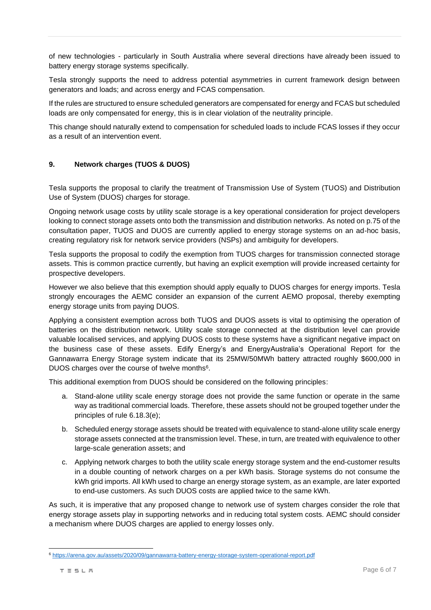of new technologies - particularly in South Australia where several directions have already been issued to battery energy storage systems specifically.

Tesla strongly supports the need to address potential asymmetries in current framework design between generators and loads; and across energy and FCAS compensation.

If the rules are structured to ensure scheduled generators are compensated for energy and FCAS but scheduled loads are only compensated for energy, this is in clear violation of the neutrality principle.

This change should naturally extend to compensation for scheduled loads to include FCAS losses if they occur as a result of an intervention event.

## **9. Network charges (TUOS & DUOS)**

Tesla supports the proposal to clarify the treatment of Transmission Use of System (TUOS) and Distribution Use of System (DUOS) charges for storage.

Ongoing network usage costs by utility scale storage is a key operational consideration for project developers looking to connect storage assets onto both the transmission and distribution networks. As noted on p.75 of the consultation paper, TUOS and DUOS are currently applied to energy storage systems on an ad-hoc basis, creating regulatory risk for network service providers (NSPs) and ambiguity for developers.

Tesla supports the proposal to codify the exemption from TUOS charges for transmission connected storage assets. This is common practice currently, but having an explicit exemption will provide increased certainty for prospective developers.

However we also believe that this exemption should apply equally to DUOS charges for energy imports. Tesla strongly encourages the AEMC consider an expansion of the current AEMO proposal, thereby exempting energy storage units from paying DUOS.

Applying a consistent exemption across both TUOS and DUOS assets is vital to optimising the operation of batteries on the distribution network. Utility scale storage connected at the distribution level can provide valuable localised services, and applying DUOS costs to these systems have a significant negative impact on the business case of these assets. Edify Energy's and EnergyAustralia's Operational Report for the Gannawarra Energy Storage system indicate that its 25MW/50MWh battery attracted roughly \$600,000 in DUOS charges over the course of twelve months<sup>6</sup>.

This additional exemption from DUOS should be considered on the following principles:

- a. Stand-alone utility scale energy storage does not provide the same function or operate in the same way as traditional commercial loads. Therefore, these assets should not be grouped together under the principles of rule 6.18.3(e);
- b. Scheduled energy storage assets should be treated with equivalence to stand-alone utility scale energy storage assets connected at the transmission level. These, in turn, are treated with equivalence to other large-scale generation assets; and
- c. Applying network charges to both the utility scale energy storage system and the end-customer results in a double counting of network charges on a per kWh basis. Storage systems do not consume the kWh grid imports. All kWh used to charge an energy storage system, as an example, are later exported to end-use customers. As such DUOS costs are applied twice to the same kWh.

As such, it is imperative that any proposed change to network use of system charges consider the role that energy storage assets play in supporting networks and in reducing total system costs. AEMC should consider a mechanism where DUOS charges are applied to energy losses only.

<sup>6</sup> <https://arena.gov.au/assets/2020/09/gannawarra-battery-energy-storage-system-operational-report.pdf>